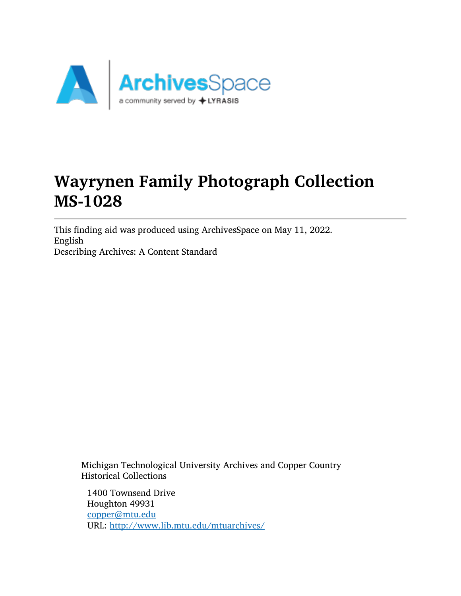

# Wayrynen Family Photograph Collection MS-1028

This finding aid was produced using ArchivesSpace on May 11, 2022. English Describing Archives: A Content Standard

Michigan Technological University Archives and Copper Country Historical Collections

1400 Townsend Drive Houghton 49931 [copper@mtu.edu](mailto:copper@mtu.edu) URL: <http://www.lib.mtu.edu/mtuarchives/>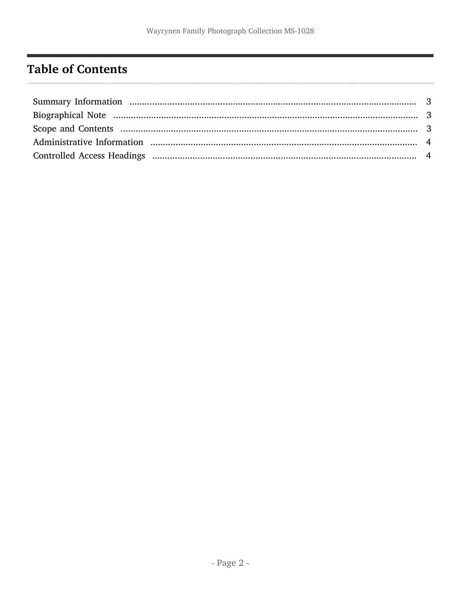## <span id="page-1-0"></span>**Table of Contents**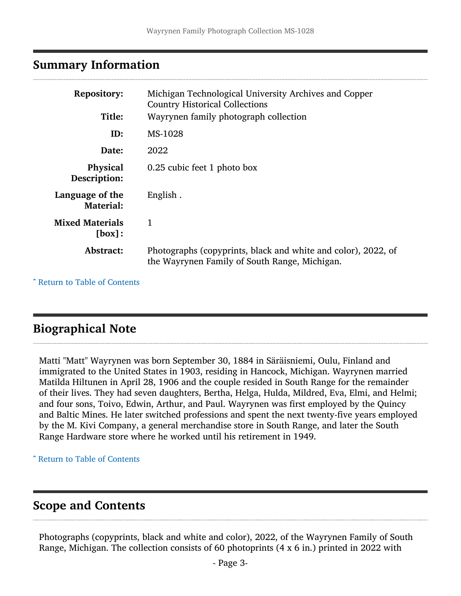#### <span id="page-2-0"></span>Summary Information

| <b>Repository:</b><br>Title:        | Michigan Technological University Archives and Copper<br><b>Country Historical Collections</b><br>Wayrynen family photograph collection |
|-------------------------------------|-----------------------------------------------------------------------------------------------------------------------------------------|
| ID:                                 | MS-1028                                                                                                                                 |
| Date:                               | 2022                                                                                                                                    |
| Physical<br>Description:            | 0.25 cubic feet 1 photo box                                                                                                             |
| Language of the<br><b>Material:</b> | English.                                                                                                                                |
| <b>Mixed Materials</b><br>[box]:    | 1                                                                                                                                       |
| Abstract:                           | Photographs (copyprints, black and white and color), 2022, of<br>the Wayrynen Family of South Range, Michigan.                          |

^ [Return to Table of Contents](#page-1-0)

## <span id="page-2-1"></span>Biographical Note

Matti "Matt" Wayrynen was born September 30, 1884 in Säräisniemi, Oulu, Finland and immigrated to the United States in 1903, residing in Hancock, Michigan. Wayrynen married Matilda Hiltunen in April 28, 1906 and the couple resided in South Range for the remainder of their lives. They had seven daughters, Bertha, Helga, Hulda, Mildred, Eva, Elmi, and Helmi; and four sons, Toivo, Edwin, Arthur, and Paul. Wayrynen was first employed by the Quincy and Baltic Mines. He later switched professions and spent the next twenty-five years employed by the M. Kivi Company, a general merchandise store in South Range, and later the South Range Hardware store where he worked until his retirement in 1949.

^ [Return to Table of Contents](#page-1-0)

## <span id="page-2-2"></span>Scope and Contents

Photographs (copyprints, black and white and color), 2022, of the Wayrynen Family of South Range, Michigan. The collection consists of 60 photoprints (4 x 6 in.) printed in 2022 with